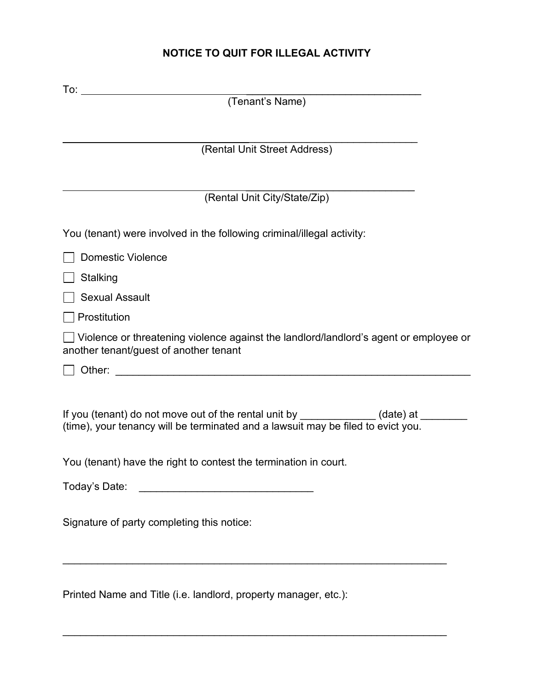# **NOTICE TO QUIT FOR ILLEGAL ACTIVITY**

| (Tenant's Name)                                                                                                                                                         |
|-------------------------------------------------------------------------------------------------------------------------------------------------------------------------|
|                                                                                                                                                                         |
| (Rental Unit Street Address)                                                                                                                                            |
|                                                                                                                                                                         |
| (Rental Unit City/State/Zip)                                                                                                                                            |
| You (tenant) were involved in the following criminal/illegal activity:                                                                                                  |
| <b>Domestic Violence</b>                                                                                                                                                |
| Stalking                                                                                                                                                                |
| <b>Sexual Assault</b>                                                                                                                                                   |
| Prostitution                                                                                                                                                            |
| $\bigsqcup$ Violence or threatening violence against the landlord/landlord's agent or employee or<br>another tenant/guest of another tenant                             |
|                                                                                                                                                                         |
| If you (tenant) do not move out of the rental unit by _____________(date) at ______<br>(time), your tenancy will be terminated and a lawsuit may be filed to evict you. |
| You (tenant) have the right to contest the termination in court.                                                                                                        |
| Today's Date:                                                                                                                                                           |
| Signature of party completing this notice:                                                                                                                              |
| Printed Name and Title (i.e. landlord, property manager, etc.):                                                                                                         |

\_\_\_\_\_\_\_\_\_\_\_\_\_\_\_\_\_\_\_\_\_\_\_\_\_\_\_\_\_\_\_\_\_\_\_\_\_\_\_\_\_\_\_\_\_\_\_\_\_\_\_\_\_\_\_\_\_\_\_\_\_\_\_\_\_\_